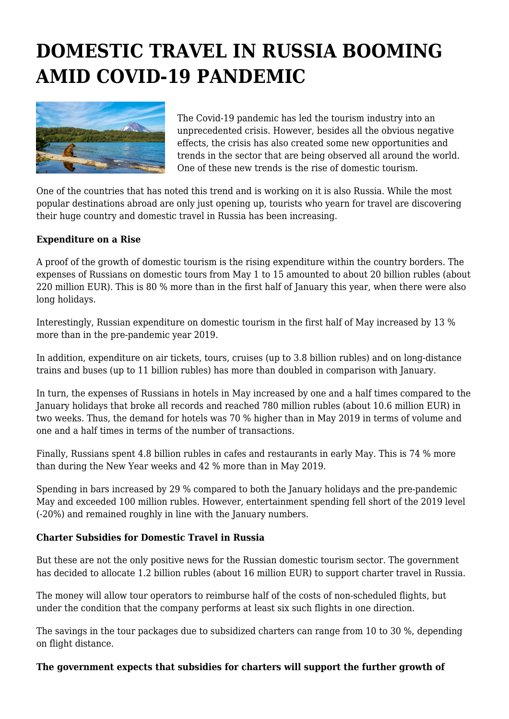## **DOMESTIC TRAVEL IN RUSSIA BOOMING AMID COVID-19 PANDEMIC**



The Covid-19 pandemic has led the tourism industry into an unprecedented crisis. However, besides all the obvious negative effects, the crisis has also created some new opportunities and trends in the sector that are being observed all around the world. One of these new trends is the rise of domestic tourism.

One of the countries that has noted this trend and is working on it is also Russia. While the most popular destinations abroad are only just opening up, tourists who yearn for travel are discovering their huge country and domestic travel in Russia has been increasing.

## **Expenditure on a Rise**

A proof of the growth of domestic tourism is the rising expenditure within the country borders. The expenses of Russians on domestic tours from May 1 to 15 amounted to about 20 billion rubles (about 220 million EUR). This is 80 % more than in the first half of January this year, when there were also long holidays.

Interestingly, Russian expenditure on domestic tourism in the first half of May increased by 13 % more than in the pre-pandemic year 2019.

In addition, expenditure on air tickets, tours, cruises (up to 3.8 billion rubles) and on long-distance trains and buses (up to 11 billion rubles) has more than doubled in comparison with January.

In turn, the expenses of Russians in hotels in May increased by one and a half times compared to the January holidays that broke all records and reached 780 million rubles (about 10.6 million EUR) in two weeks. Thus, the demand for hotels was 70 % higher than in May 2019 in terms of volume and one and a half times in terms of the number of transactions.

Finally, Russians spent 4.8 billion rubles in cafes and restaurants in early May. This is 74 % more than during the New Year weeks and 42 % more than in May 2019.

Spending in bars increased by 29 % compared to both the January holidays and the pre-pandemic May and exceeded 100 million rubles. However, entertainment spending fell short of the 2019 level (-20%) and remained roughly in line with the January numbers.

## **Charter Subsidies for Domestic Travel in Russia**

But these are not the only positive news for the Russian domestic tourism sector. The government has decided to allocate 1.2 billion rubles (about 16 million EUR) to support charter travel in Russia.

The money will allow tour operators to reimburse half of the costs of non-scheduled flights, but under the condition that the company performs at least six such flights in one direction.

The savings in the tour packages due to subsidized charters can range from 10 to 30 %, depending on flight distance.

## **The government expects that subsidies for charters will support the further growth of**